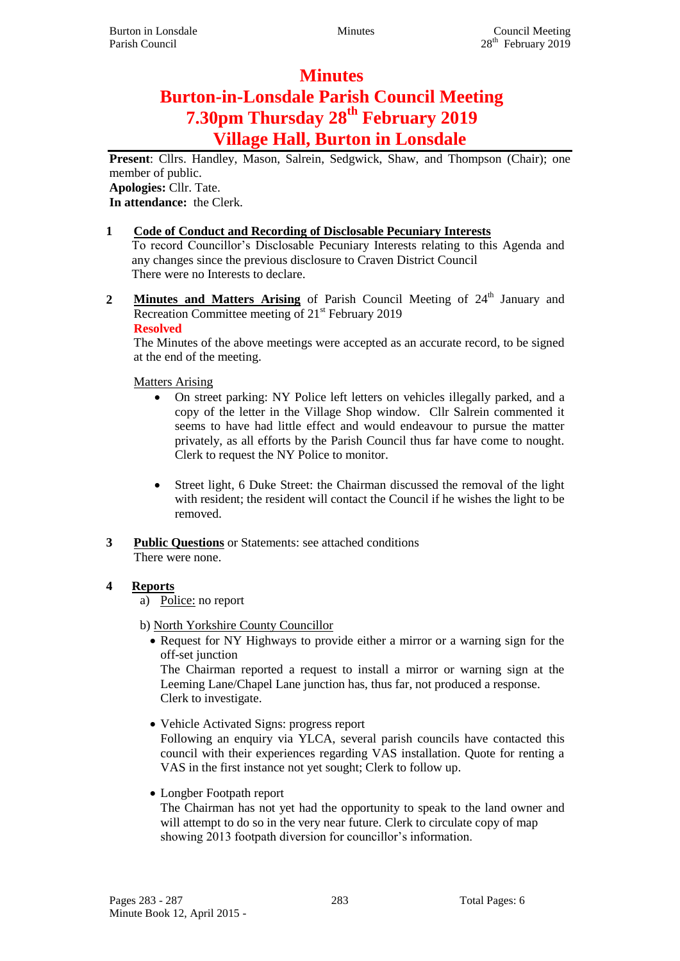# **Minutes**

# **Burton-in-Lonsdale Parish Council Meeting 7.30pm Thursday 28th February 2019 Village Hall, Burton in Lonsdale**

**Present**: Cllrs. Handley, Mason, Salrein, Sedgwick, Shaw, and Thompson (Chair); one member of public. **Apologies:** Cllr. Tate.

**In attendance:** the Clerk.

## **1 Code of Conduct and Recording of Disclosable Pecuniary Interests**

To record Councillor's Disclosable Pecuniary Interests relating to this Agenda and any changes since the previous disclosure to Craven District Council There were no Interests to declare.

2 **Minutes and Matters Arising** of Parish Council Meeting of 24<sup>th</sup> January and Recreation Committee meeting of  $21<sup>st</sup>$  February 2019

#### **Resolved**

The Minutes of the above meetings were accepted as an accurate record, to be signed at the end of the meeting.

Matters Arising

- On street parking: NY Police left letters on vehicles illegally parked, and a copy of the letter in the Village Shop window. Cllr Salrein commented it seems to have had little effect and would endeavour to pursue the matter privately, as all efforts by the Parish Council thus far have come to nought. Clerk to request the NY Police to monitor.
- Street light, 6 Duke Street: the Chairman discussed the removal of the light with resident; the resident will contact the Council if he wishes the light to be removed.

**3 Public Questions** or Statements: see attached conditions There were none.

# **4 Reports**

a) Police: no report

b) North Yorkshire County Councillor

• Request for NY Highways to provide either a mirror or a warning sign for the off-set junction

The Chairman reported a request to install a mirror or warning sign at the Leeming Lane/Chapel Lane junction has, thus far, not produced a response. Clerk to investigate.

Vehicle Activated Signs: progress report

Following an enquiry via YLCA, several parish councils have contacted this council with their experiences regarding VAS installation. Quote for renting a VAS in the first instance not yet sought; Clerk to follow up.

• Longber Footpath report

The Chairman has not yet had the opportunity to speak to the land owner and will attempt to do so in the very near future. Clerk to circulate copy of map showing 2013 footpath diversion for councillor's information.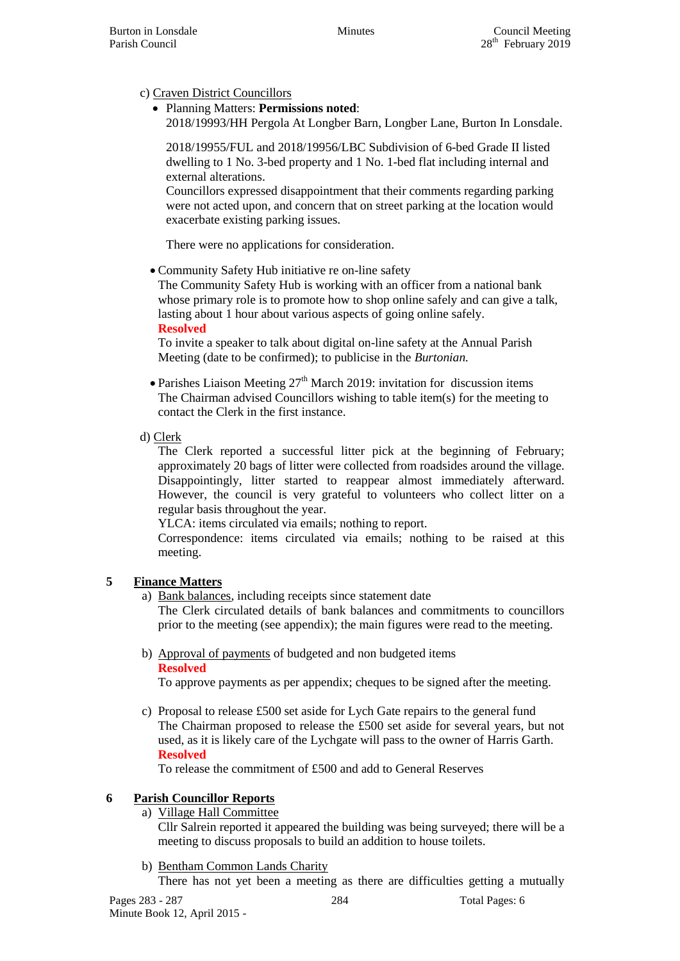Parish Council

c) Craven District Councillors

 Planning Matters: **Permissions noted**: 2018/19993/HH Pergola At Longber Barn, Longber Lane, Burton In Lonsdale.

2018/19955/FUL and 2018/19956/LBC Subdivision of 6-bed Grade II listed dwelling to 1 No. 3-bed property and 1 No. 1-bed flat including internal and external alterations.

Councillors expressed disappointment that their comments regarding parking were not acted upon, and concern that on street parking at the location would exacerbate existing parking issues.

There were no applications for consideration.

Community Safety Hub initiative re on-line safety

The Community Safety Hub is working with an officer from a national bank whose primary role is to promote how to shop online safely and can give a talk, lasting about 1 hour about various aspects of going online safely. **Resolved**

To invite a speaker to talk about digital on-line safety at the Annual Parish Meeting (date to be confirmed); to publicise in the *Burtonian.*

- Parishes Liaison Meeting  $27<sup>th</sup>$  March 2019: invitation for discussion items The Chairman advised Councillors wishing to table item(s) for the meeting to contact the Clerk in the first instance.
- d) Clerk

The Clerk reported a successful litter pick at the beginning of February; approximately 20 bags of litter were collected from roadsides around the village. Disappointingly, litter started to reappear almost immediately afterward. However, the council is very grateful to volunteers who collect litter on a regular basis throughout the year.

YLCA: items circulated via emails; nothing to report.

Correspondence: items circulated via emails; nothing to be raised at this meeting.

# **5 Finance Matters**

a) Bank balances, including receipts since statement date

The Clerk circulated details of bank balances and commitments to councillors prior to the meeting (see appendix); the main figures were read to the meeting.

b) Approval of payments of budgeted and non budgeted items **Resolved**

To approve payments as per appendix; cheques to be signed after the meeting.

c) Proposal to release £500 set aside for Lych Gate repairs to the general fund The Chairman proposed to release the £500 set aside for several years, but not used, as it is likely care of the Lychgate will pass to the owner of Harris Garth. **Resolved**

To release the commitment of £500 and add to General Reserves

# **6 Parish Councillor Reports**

a) Village Hall Committee

Cllr Salrein reported it appeared the building was being surveyed; there will be a meeting to discuss proposals to build an addition to house toilets.

b) Bentham Common Lands Charity

There has not yet been a meeting as there are difficulties getting a mutually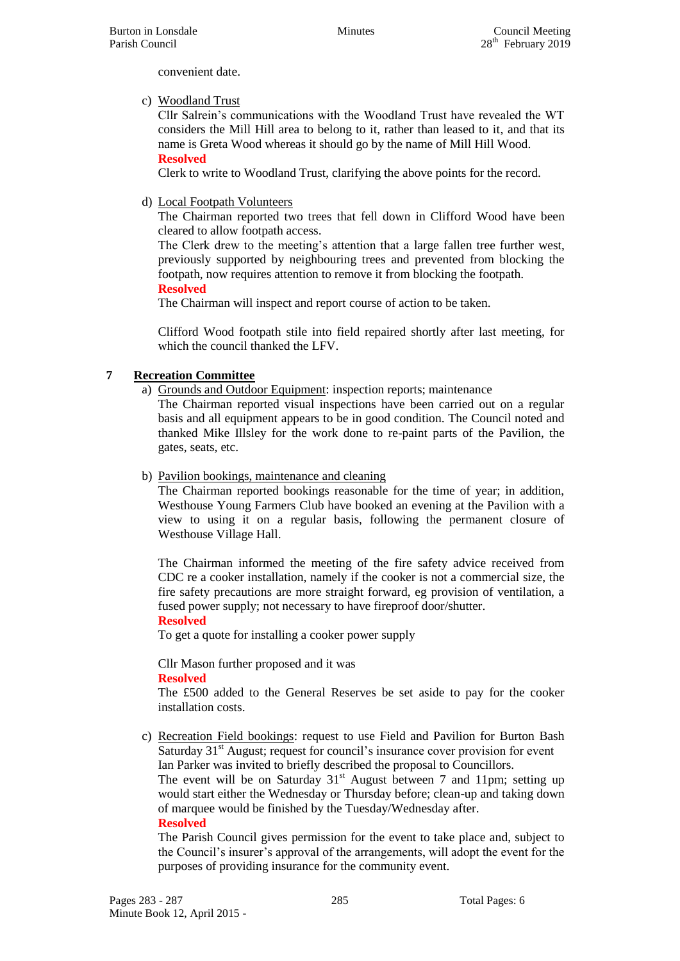Burton in Lonsdale Minutes Council Meeting Parish Council

convenient date.

c) Woodland Trust

Cllr Salrein's communications with the Woodland Trust have revealed the WT considers the Mill Hill area to belong to it, rather than leased to it, and that its name is Greta Wood whereas it should go by the name of Mill Hill Wood. **Resolved**

Clerk to write to Woodland Trust, clarifying the above points for the record.

## d) Local Footpath Volunteers

The Chairman reported two trees that fell down in Clifford Wood have been cleared to allow footpath access.

The Clerk drew to the meeting's attention that a large fallen tree further west, previously supported by neighbouring trees and prevented from blocking the footpath, now requires attention to remove it from blocking the footpath. **Resolved**

The Chairman will inspect and report course of action to be taken.

Clifford Wood footpath stile into field repaired shortly after last meeting, for which the council thanked the LFV.

# **7 Recreation Committee**

a) Grounds and Outdoor Equipment: inspection reports; maintenance

The Chairman reported visual inspections have been carried out on a regular basis and all equipment appears to be in good condition. The Council noted and thanked Mike Illsley for the work done to re-paint parts of the Pavilion, the gates, seats, etc.

#### b) Pavilion bookings, maintenance and cleaning

The Chairman reported bookings reasonable for the time of year; in addition, Westhouse Young Farmers Club have booked an evening at the Pavilion with a view to using it on a regular basis, following the permanent closure of Westhouse Village Hall.

The Chairman informed the meeting of the fire safety advice received from CDC re a cooker installation, namely if the cooker is not a commercial size, the fire safety precautions are more straight forward, eg provision of ventilation, a fused power supply; not necessary to have fireproof door/shutter.

#### **Resolved**

To get a quote for installing a cooker power supply

Cllr Mason further proposed and it was

#### **Resolved**

The £500 added to the General Reserves be set aside to pay for the cooker installation costs.

c) Recreation Field bookings: request to use Field and Pavilion for Burton Bash Saturday  $31<sup>st</sup>$  August; request for council's insurance cover provision for event Ian Parker was invited to briefly described the proposal to Councillors.

The event will be on Saturday  $31<sup>st</sup>$  August between 7 and 11pm; setting up would start either the Wednesday or Thursday before; clean-up and taking down of marquee would be finished by the Tuesday/Wednesday after.

#### **Resolved**

The Parish Council gives permission for the event to take place and, subject to the Council's insurer's approval of the arrangements, will adopt the event for the purposes of providing insurance for the community event.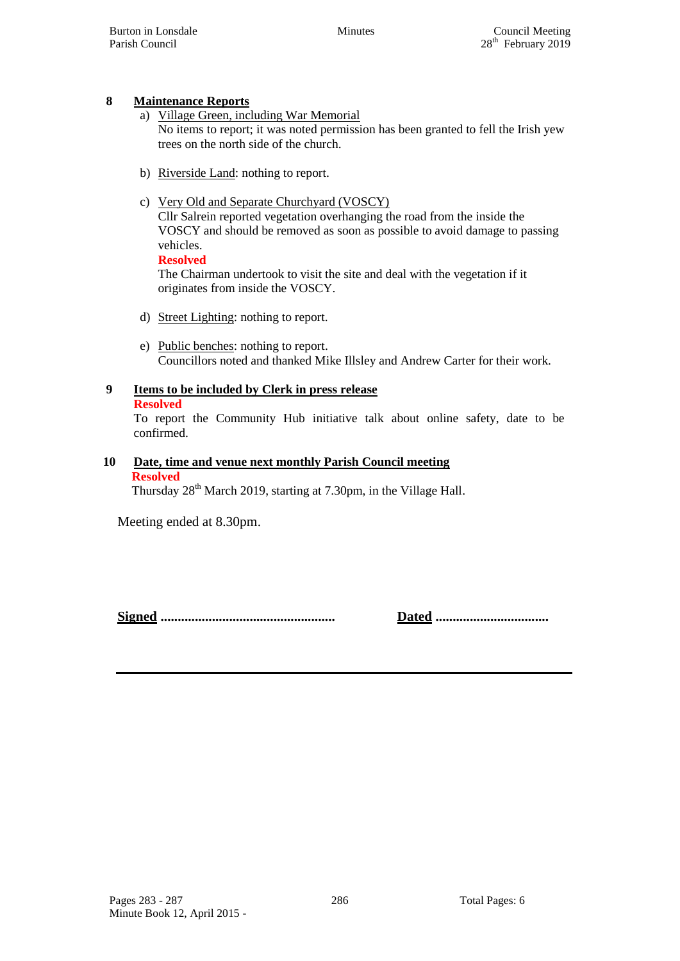# **8 Maintenance Reports**

- a) Village Green, including War Memorial No items to report; it was noted permission has been granted to fell the Irish yew trees on the north side of the church.
- b) Riverside Land: nothing to report.

# c) Very Old and Separate Churchyard (VOSCY)

Cllr Salrein reported vegetation overhanging the road from the inside the VOSCY and should be removed as soon as possible to avoid damage to passing vehicles.

**Resolved** The Chairman undertook to visit the site and deal with the vegetation if it originates from inside the VOSCY.

- d) Street Lighting: nothing to report.
- e) Public benches: nothing to report. Councillors noted and thanked Mike Illsley and Andrew Carter for their work.

# **9 Items to be included by Clerk in press release**

**Resolved**

To report the Community Hub initiative talk about online safety, date to be confirmed.

#### **10 Date, time and venue next monthly Parish Council meeting Resolved**

Thursday 28<sup>th</sup> March 2019, starting at 7.30pm, in the Village Hall.

Meeting ended at 8.30pm.

**Signed ................................................... Dated .................................**